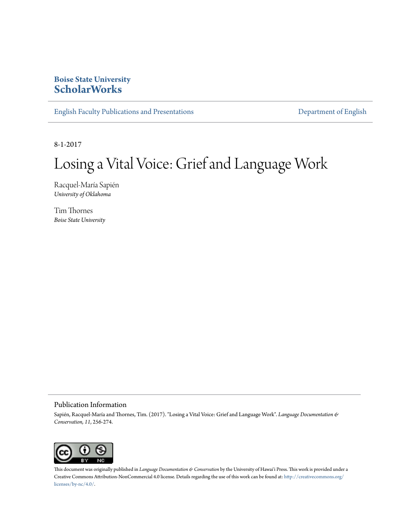### **Boise State University [ScholarWorks](https://scholarworks.boisestate.edu)**

[English Faculty Publications and Presentations](https://scholarworks.boisestate.edu/english_facpubs) **[Department of English](https://scholarworks.boisestate.edu/english)** 

8-1-2017

# Losing a Vital Voice: Grief and Language Work

Racquel-María Sapién *University of Oklahoma*

Tim Thornes *Boise State University*

#### Publication Information

Sapién, Racquel-María and Thornes, Tim. (2017). "Losing a Vital Voice: Grief and Language Work". *Language Documentation & Conservation, 11*, 256-274.



This document was originally published in *Language Documentation* & Conservation by the University of Hawai'i Press. This work is provided under a Creative Commons Attribution-NonCommercial 4.0 license. Details regarding the use of this work can be found at: [http://creativecommons.org/](http://creativecommons.org/licenses/by-nc/4.0/) [licenses/by-nc/4.0/](http://creativecommons.org/licenses/by-nc/4.0/).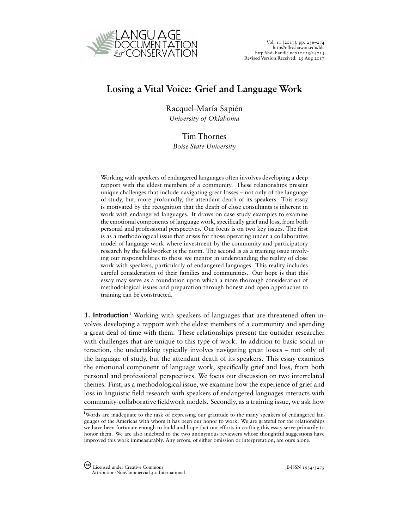

## **Losing a Vital Voice: Grief and Language Work**

Racquel-María Sapién *University of Oklahoma*

### Tim Thornes

*Boise State University*

Working with speakers of endangered languages often involves developing a deep rapport with the eldest members of a community. These relationships present unique challenges that include navigating great losses – not only of the language of study, but, more profoundly, the attendant death of its speakers. This essay is motivated by the recognition that the death of close consultants is inherent in work with endangered languages. It draws on case study examples to examine the emotional components of language work, specifically grief and loss, from both personal and professional perspectives. Our focus is on two key issues. The first is as a methodological issue that arises for those operating under a collaborative model of language work where investment by the community and participatory research by the fieldworker is the norm. The second is as a training issue involving our responsibilities to those we mentor in understanding the reality of close work with speakers, particularly of endangered languages. This reality includes careful consideration of their families and communities. Our hope is that this essay may serve as a foundation upon which a more thorough consideration of methodological issues and preparation through honest and open approaches to training can be constructed.

**[1](#page-19-0).** Introduction<sup>1</sup> Working with speakers of languages that are threatened often involves developing a rapport with the eldest members of a community and spending a great deal of time with them. These relationships present the outsider researcher with challenges that are unique to this type of work. In addition to basic social interaction, the undertaking typically involves navigating great losses – not only of the language of study, but the attendant death of its speakers. This essay examines the emotional component of language work, specifically grief and loss, from both personal and professional perspectives. We focus our discussion on two interrelated themes. First, as a methodological issue, we examine how the experience of grief and loss in linguistic field research with speakers of endangered languages interacts with community-collaborative fieldwork models. Secondly, as a training issue, we ask how

<sup>&</sup>lt;sup>1</sup>Words are inadequate to the task of expressing our gratitude to the many speakers of endangered languages of the Americas with whom it has been our honor to work. We are grateful for the relationships we have been fortunate enough to build and hope that our efforts in crafting this essay serve primarily to honor them. We are also indebted to the two anonymous reviewers whose thoughtful suggestions have improved this work immeasurably. Any errors, of either omission or interpretation, are ours alone.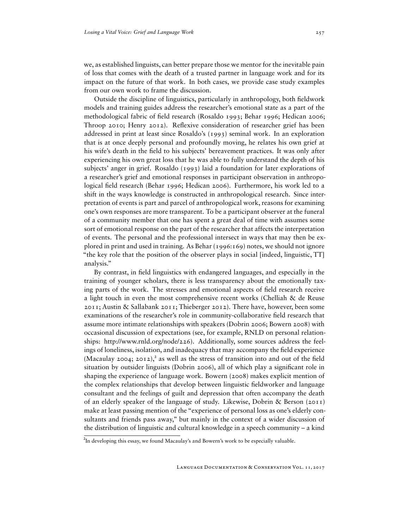we, as established linguists, can better prepare those we mentor for the inevitable pain of loss that comes with the death of a trusted partner in language work and for its impact on the future of that work. In both cases, we provide case study examples from our own work to frame the discussion.

Outside the discipline of linguistics, particularly in anthropology, both fieldwork models and training guides address the researcher's emotional state as a part of the methodological fabric of field research (Rosaldo 1993; Behar 1996; Hedican 2006; Throop 2010; Henry 2012). Reflexive consideration of researcher grief has been addressed in print at least since Rosaldo's (1993) seminal work. In an exploration that is at once deeply personal and profoundly moving, he relates his own grief at his wife's death in the field to his subjects' bereavement practices. It was only after experiencing his own great loss that he was able to fully understand the depth of his subjects' anger in grief. Rosaldo (1993) laid a foundation for later explorations of a researcher's grief and emotional responses in participant observation in anthropological field research (Behar 1996; Hedican 2006). Furthermore, his work led to a shift in the ways knowledge is constructed in anthropological research. Since interpretation of events is part and parcel of anthropological work, reasons for examining one's own responses are more transparent. To be a participant observer at the funeral of a community member that one has spent a great deal of time with assumes some sort of emotional response on the part of the researcher that affects the interpretation of events. The personal and the professional intersect in ways that may then be explored in print and used in training. As Behar (1996:169) notes, we should not ignore "the key role that the position of the observer plays in social [indeed, linguistic, TT] analysis."

By contrast, in field linguistics with endangered languages, and especially in the training of younger scholars, there is less transparency about the emotionally taxing parts of the work. The stresses and emotional aspects of field research receive a light touch in even the most comprehensive recent works (Chelliah & de Reuse 2011; Austin & Sallabank 2011; Thieberger 2012). There have, however, been some examinations of the researcher's role in community-collaborative field research that assume more intimate relationships with speakers (Dobrin 2006; Bowern 2008) with occasional discussion of expectations (see, for example, RNLD on personal relationships: [http://www.rnld.org/node/226\)](http://www.rnld.org/node/226). Additionally, some sources address the feelings of loneliness, isolation, and inadequacy that may accompany the field experience (Macaulay [2](#page-19-0)004; 2012),<sup>2</sup> as well as the stress of transition into and out of the field situation by outsider linguists (Dobrin 2006), all of which play a significant role in shaping the experience of language work. Bowern (2008) makes explicit mention of the complex relationships that develop between linguistic fieldworker and language consultant and the feelings of guilt and depression that often accompany the death of an elderly speaker of the language of study. Likewise, Dobrin & Berson (2011) make at least passing mention of the "experience of personal loss as one's elderly consultants and friends pass away," but mainly in the context of a wider discussion of the distribution of linguistic and cultural knowledge in a speech community – a kind

<sup>&</sup>lt;sup>2</sup>In developing this essay, we found Macaulay's and Bowern's work to be especially valuable.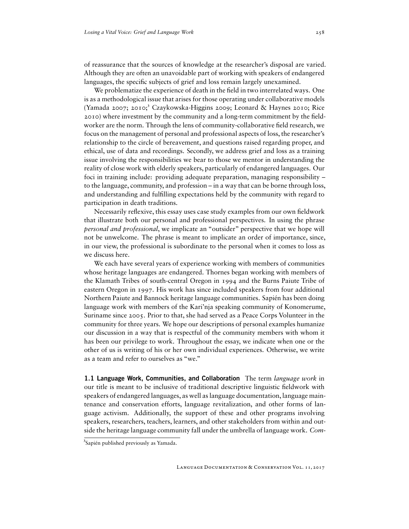of reassurance that the sources of knowledge at the researcher's disposal are varied. Although they are often an unavoidable part of working with speakers of endangered languages, the specific subjects of grief and loss remain largely unexamined.

We problematize the experience of death in the field in two interrelated ways. One is as a methodological issue that arises for those operating under collaborative models (Yamada 2007; 2010;<sup>[3](#page-19-0)</sup> Czaykowska-Higgins 2009; Leonard & Haynes 2010; Rice 2010) where investment by the community and a long-term commitment by the fieldworker are the norm. Through the lens of community-collaborative field research, we focus on the management of personal and professional aspects of loss, the researcher's relationship to the circle of bereavement, and questions raised regarding proper, and ethical, use of data and recordings. Secondly, we address grief and loss as a training issue involving the responsibilities we bear to those we mentor in understanding the reality of close work with elderly speakers, particularly of endangered languages. Our foci in training include: providing adequate preparation, managing responsibility – to the language, community, and profession – in a way that can be borne through loss, and understanding and fulfilling expectations held by the community with regard to participation in death traditions.

Necessarily reflexive, this essay uses case study examples from our own fieldwork that illustrate both our personal and professional perspectives. In using the phrase *personal and professional*, we implicate an "outsider" perspective that we hope will not be unwelcome. The phrase is meant to implicate an order of importance, since, in our view, the professional is subordinate to the personal when it comes to loss as we discuss here.

We each have several years of experience working with members of communities whose heritage languages are endangered. Thornes began working with members of the Klamath Tribes of south-central Oregon in 1994 and the Burns Paiute Tribe of eastern Oregon in 1997. His work has since included speakers from four additional Northern Paiute and Bannock heritage language communities. Sapién has been doing language work with members of the Kari'nja speaking community of Konomerume, Suriname since 2005. Prior to that, she had served as a Peace Corps Volunteer in the community for three years. We hope our descriptions of personal examples humanize our discussion in a way that is respectful of the community members with whom it has been our privilege to work. Throughout the essay, we indicate when one or the other of us is writing of his or her own individual experiences. Otherwise, we write as a team and refer to ourselves as "we."

1.1 Language Work, Communities, and Collaboration The term *language work* in our title is meant to be inclusive of traditional descriptive linguistic fieldwork with speakers of endangered languages, as well as language documentation, language maintenance and conservation efforts, language revitalization, and other forms of language activism. Additionally, the support of these and other programs involving speakers, researchers, teachers, learners, and other stakeholders from within and outside the heritage language community fall under the umbrella of language work. *Com-*

Language Documentation & Conservation Vol. 11, 2017

<sup>&</sup>lt;sup>3</sup>Sapién published previously as Yamada.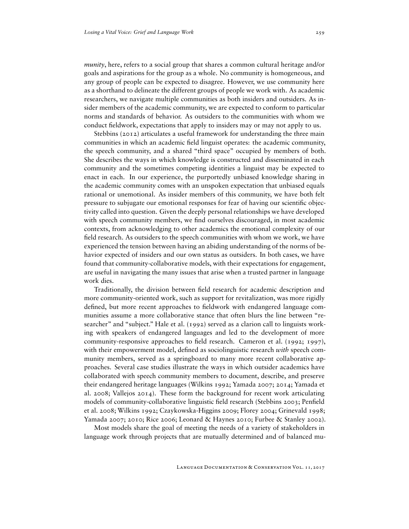*munity*, here, refers to a social group that shares a common cultural heritage and/or goals and aspirations for the group as a whole. No community is homogeneous, and any group of people can be expected to disagree. However, we use community here as a shorthand to delineate the different groups of people we work with. As academic researchers, we navigate multiple communities as both insiders and outsiders. As insider members of the academic community, we are expected to conform to particular norms and standards of behavior. As outsiders to the communities with whom we conduct fieldwork, expectations that apply to insiders may or may not apply to us.

Stebbins (2012) articulates a useful framework for understanding the three main communities in which an academic field linguist operates: the academic community, the speech community, and a shared "third space" occupied by members of both. She describes the ways in which knowledge is constructed and disseminated in each community and the sometimes competing identities a linguist may be expected to enact in each. In our experience, the purportedly unbiased knowledge sharing in the academic community comes with an unspoken expectation that unbiased equals rational or unemotional. As insider members of this community, we have both felt pressure to subjugate our emotional responses for fear of having our scientific objectivity called into question. Given the deeply personal relationships we have developed with speech community members, we find ourselves discouraged, in most academic contexts, from acknowledging to other academics the emotional complexity of our field research. As outsiders to the speech communities with whom we work, we have experienced the tension between having an abiding understanding of the norms of behavior expected of insiders and our own status as outsiders. In both cases, we have found that community-collaborative models, with their expectations for engagement, are useful in navigating the many issues that arise when a trusted partner in language work dies.

Traditionally, the division between field research for academic description and more community-oriented work, such as support for revitalization, was more rigidly defined, but more recent approaches to fieldwork with endangered language communities assume a more collaborative stance that often blurs the line between "researcher" and "subject." Hale et al. (1992) served as a clarion call to linguists working with speakers of endangered languages and led to the development of more community-responsive approaches to field research. Cameron et al. (1992; 1997), with their empowerment model, defined as sociolinguistic research *with* speech community members, served as a springboard to many more recent collaborative approaches. Several case studies illustrate the ways in which outsider academics have collaborated with speech community members to document, describe, and preserve their endangered heritage languages (Wilkins 1992; Yamada 2007; 2014; Yamada et al. 2008; Vallejos 2014). These form the background for recent work articulating models of community-collaborative linguistic field research (Stebbins 2003; Penfield et al. 2008; Wilkins 1992; Czaykowska-Higgins 2009; Florey 2004; Grinevald 1998; Yamada 2007; 2010; Rice 2006; Leonard & Haynes 2010; Furbee & Stanley 2002).

Most models share the goal of meeting the needs of a variety of stakeholders in language work through projects that are mutually determined and of balanced mu-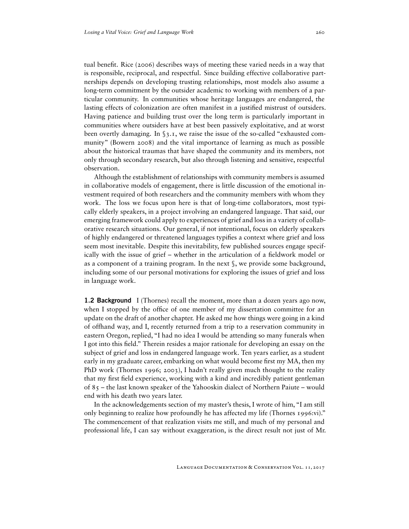tual benefit. Rice (2006) describes ways of meeting these varied needs in a way that is responsible, reciprocal, and respectful. Since building effective collaborative partnerships depends on developing trusting relationships, most models also assume a long-term commitment by the outsider academic to working with members of a particular community. In communities whose heritage languages are endangered, the lasting effects of colonization are often manifest in a justified mistrust of outsiders. Having patience and building trust over the long term is particularly important in communities where outsiders have at best been passively exploitative, and at worst been overtly damaging. In §3.1, we raise the issue of the so-called "exhausted community" (Bowern 2008) and the vital importance of learning as much as possible about the historical traumas that have shaped the community and its members, not only through secondary research, but also through listening and sensitive, respectful observation.

Although the establishment of relationships with community members is assumed in collaborative models of engagement, there is little discussion of the emotional investment required of both researchers and the community members with whom they work. The loss we focus upon here is that of long-time collaborators, most typically elderly speakers, in a project involving an endangered language. That said, our emerging framework could apply to experiences of grief and loss in a variety of collaborative research situations. Our general, if not intentional, focus on elderly speakers of highly endangered or threatened languages typifies a context where grief and loss seem most inevitable. Despite this inevitability, few published sources engage specifically with the issue of grief – whether in the articulation of a fieldwork model or as a component of a training program. In the next §, we provide some background, including some of our personal motivations for exploring the issues of grief and loss in language work.

1.2 Background I (Thornes) recall the moment, more than a dozen years ago now, when I stopped by the office of one member of my dissertation committee for an update on the draft of another chapter. He asked me how things were going in a kind of offhand way, and I, recently returned from a trip to a reservation community in eastern Oregon, replied, "I had no idea I would be attending so many funerals when I got into this field." Therein resides a major rationale for developing an essay on the subject of grief and loss in endangered language work. Ten years earlier, as a student early in my graduate career, embarking on what would become first my MA, then my PhD work (Thornes 1996; 2003), I hadn't really given much thought to the reality that my first field experience, working with a kind and incredibly patient gentleman of 85 – the last known speaker of the Yahooskin dialect of Northern Paiute – would end with his death two years later.

In the acknowledgements section of my master's thesis, I wrote of him, "I am still only beginning to realize how profoundly he has affected my life (Thornes 1996:vi)." The commencement of that realization visits me still, and much of my personal and professional life, I can say without exaggeration, is the direct result not just of Mr.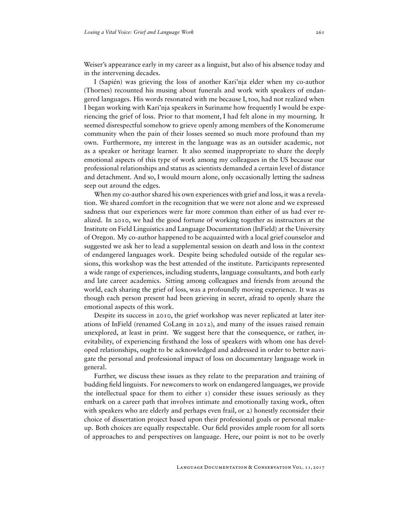Weiser's appearance early in my career as a linguist, but also of his absence today and in the intervening decades.

I (Sapién) was grieving the loss of another Kari'nja elder when my co-author (Thornes) recounted his musing about funerals and work with speakers of endangered languages. His words resonated with me because I, too, had not realized when I began working with Kari'nja speakers in Suriname how frequently I would be experiencing the grief of loss. Prior to that moment, I had felt alone in my mourning. It seemed disrespectful somehow to grieve openly among members of the Konomerume community when the pain of their losses seemed so much more profound than my own. Furthermore, my interest in the language was as an outsider academic, not as a speaker or heritage learner. It also seemed inappropriate to share the deeply emotional aspects of this type of work among my colleagues in the US because our professional relationships and status as scientists demanded a certain level of distance and detachment. And so, I would mourn alone, only occasionally letting the sadness seep out around the edges.

When my co-author shared his own experiences with grief and loss, it was a revelation. We shared comfort in the recognition that we were not alone and we expressed sadness that our experiences were far more common than either of us had ever realized. In 2010, we had the good fortune of working together as instructors at the Institute on Field Linguistics and Language Documentation (InField) at the University of Oregon. My co-author happened to be acquainted with a local grief counselor and suggested we ask her to lead a supplemental session on death and loss in the context of endangered languages work. Despite being scheduled outside of the regular sessions, this workshop was the best attended of the institute. Participants represented a wide range of experiences, including students, language consultants, and both early and late career academics. Sitting among colleagues and friends from around the world, each sharing the grief of loss, was a profoundly moving experience. It was as though each person present had been grieving in secret, afraid to openly share the emotional aspects of this work.

Despite its success in 2010, the grief workshop was never replicated at later iterations of InField (renamed CoLang in 2012), and many of the issues raised remain unexplored, at least in print. We suggest here that the consequence, or rather, inevitability, of experiencing firsthand the loss of speakers with whom one has developed relationships, ought to be acknowledged and addressed in order to better navigate the personal and professional impact of loss on documentary language work in general.

Further, we discuss these issues as they relate to the preparation and training of budding field linguists. For newcomers to work on endangered languages, we provide the intellectual space for them to either  $\tau$ ) consider these issues seriously as they embark on a career path that involves intimate and emotionally taxing work, often with speakers who are elderly and perhaps even frail, or 2) honestly reconsider their choice of dissertation project based upon their professional goals or personal makeup. Both choices are equally respectable. Our field provides ample room for all sorts of approaches to and perspectives on language. Here, our point is not to be overly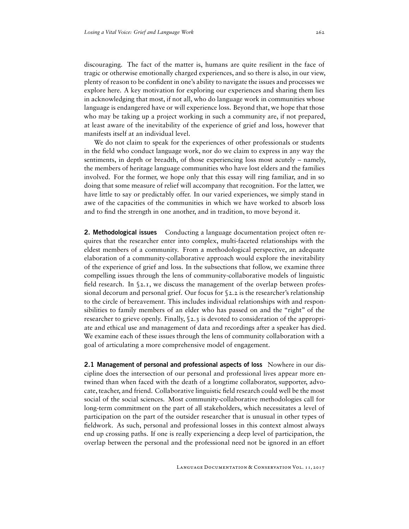discouraging. The fact of the matter is, humans are quite resilient in the face of tragic or otherwise emotionally charged experiences, and so there is also, in our view, plenty of reason to be confident in one's ability to navigate the issues and processes we explore here. A key motivation for exploring our experiences and sharing them lies in acknowledging that most, if not all, who do language work in communities whose language is endangered have or will experience loss. Beyond that, we hope that those who may be taking up a project working in such a community are, if not prepared, at least aware of the inevitability of the experience of grief and loss, however that manifests itself at an individual level.

We do not claim to speak for the experiences of other professionals or students in the field who conduct language work, nor do we claim to express in any way the sentiments, in depth or breadth, of those experiencing loss most acutely – namely, the members of heritage language communities who have lost elders and the families involved. For the former, we hope only that this essay will ring familiar, and in so doing that some measure of relief will accompany that recognition. For the latter, we have little to say or predictably offer. In our varied experiences, we simply stand in awe of the capacities of the communities in which we have worked to absorb loss and to find the strength in one another, and in tradition, to move beyond it.

**2. Methodological issues** Conducting a language documentation project often requires that the researcher enter into complex, multi-faceted relationships with the eldest members of a community. From a methodological perspective, an adequate elaboration of a community-collaborative approach would explore the inevitability of the experience of grief and loss. In the subsections that follow, we examine three compelling issues through the lens of community-collaborative models of linguistic field research. In §2.1, we discuss the management of the overlap between professional decorum and personal grief. Our focus for  $\S$ 2.2 is the researcher's relationship to the circle of bereavement. This includes individual relationships with and responsibilities to family members of an elder who has passed on and the "right" of the researcher to grieve openly. Finally, §2.3 is devoted to consideration of the appropriate and ethical use and management of data and recordings after a speaker has died. We examine each of these issues through the lens of community collaboration with a goal of articulating a more comprehensive model of engagement.

**2.1 Management of personal and professional aspects of loss** Nowhere in our discipline does the intersection of our personal and professional lives appear more entwined than when faced with the death of a longtime collaborator, supporter, advocate, teacher, and friend. Collaborative linguistic field research could well be the most social of the social sciences. Most community-collaborative methodologies call for long-term commitment on the part of all stakeholders, which necessitates a level of participation on the part of the outsider researcher that is unusual in other types of fieldwork. As such, personal and professional losses in this context almost always end up crossing paths. If one is really experiencing a deep level of participation, the overlap between the personal and the professional need not be ignored in an effort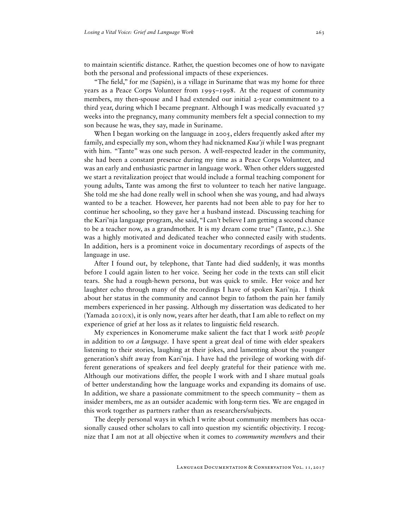to maintain scientific distance. Rather, the question becomes one of how to navigate both the personal and professional impacts of these experiences.

"The field," for me (Sapién), is a village in Suriname that was my home for three years as a Peace Corps Volunteer from 1995–1998. At the request of community members, my then-spouse and I had extended our initial 2-year commitment to a third year, during which I became pregnant. Although I was medically evacuated 37 weeks into the pregnancy, many community members felt a special connection to my son because he was, they say, made in Suriname.

When I began working on the language in 2005, elders frequently asked after my family, and especially my son, whom they had nicknamed *Kua'ji* while I was pregnant with him. "Tante" was one such person. A well-respected leader in the community, she had been a constant presence during my time as a Peace Corps Volunteer, and was an early and enthusiastic partner in language work. When other elders suggested we start a revitalization project that would include a formal teaching component for young adults, Tante was among the first to volunteer to teach her native language. She told me she had done really well in school when she was young, and had always wanted to be a teacher. However, her parents had not been able to pay for her to continue her schooling, so they gave her a husband instead. Discussing teaching for the Kari'nja language program, she said, "I can't believe I am getting a second chance to be a teacher now, as a grandmother. It is my dream come true" (Tante, p.c.). She was a highly motivated and dedicated teacher who connected easily with students. In addition, hers is a prominent voice in documentary recordings of aspects of the language in use.

After I found out, by telephone, that Tante had died suddenly, it was months before I could again listen to her voice. Seeing her code in the texts can still elicit tears. She had a rough-hewn persona, but was quick to smile. Her voice and her laughter echo through many of the recordings I have of spoken Kari'nja. I think about her status in the community and cannot begin to fathom the pain her family members experienced in her passing. Although my dissertation was dedicated to her (Yamada 2010:x), it is only now, years after her death, that I am able to reflect on my experience of grief at her loss as it relates to linguistic field research.

My experiences in Konomerume make salient the fact that I work *with people* in addition to *on a language*. I have spent a great deal of time with elder speakers listening to their stories, laughing at their jokes, and lamenting about the younger generation's shift away from Kari'nja. I have had the privilege of working with different generations of speakers and feel deeply grateful for their patience with me. Although our motivations differ, the people I work with and I share mutual goals of better understanding how the language works and expanding its domains of use. In addition, we share a passionate commitment to the speech community – them as insider members, me as an outsider academic with long-term ties. We are engaged in this work together as partners rather than as researchers/subjects.

The deeply personal ways in which I write about community members has occasionally caused other scholars to call into question my scientific objectivity. I recognize that I am not at all objective when it comes to *community member*s and their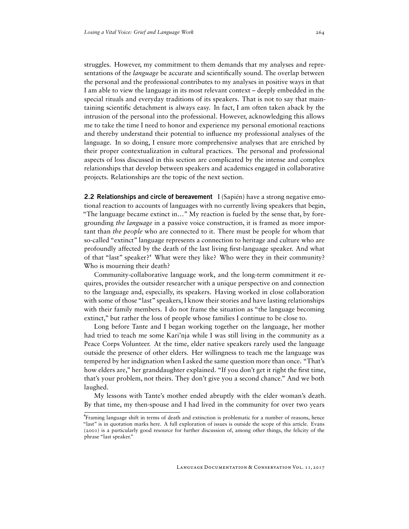struggles. However, my commitment to them demands that my analyses and representations of the *language* be accurate and scientifically sound. The overlap between the personal and the professional contributes to my analyses in positive ways in that I am able to view the language in its most relevant context – deeply embedded in the special rituals and everyday traditions of its speakers. That is not to say that maintaining scientific detachment is always easy. In fact, I am often taken aback by the intrusion of the personal into the professional. However, acknowledging this allows me to take the time I need to honor and experience my personal emotional reactions and thereby understand their potential to influence my professional analyses of the language. In so doing, I ensure more comprehensive analyses that are enriched by their proper contextualization in cultural practices. The personal and professional aspects of loss discussed in this section are complicated by the intense and complex relationships that develop between speakers and academics engaged in collaborative projects. Relationships are the topic of the next section.

**2.2 Relationships and circle of bereavement**  $I(Sapién)$  have a strong negative emotional reaction to accounts of languages with no currently living speakers that begin, "The language became extinct in…" My reaction is fueled by the sense that, by foregrounding *the language* in a passive voice construction, it is framed as more important than *the people* who are connected to it. There must be people for whom that so-called "extinct" language represents a connection to heritage and culture who are profoundly affected by the death of the last living first-language speaker. And what of that "last" speaker?<sup>4</sup> What were they like? Who were they in their community? Who is mourning their death?

Community-collaborative language work, and the long-term commitment it requires, provides the outsider researcher with a unique perspective on and connection to the language and, especially, its speakers. Having worked in close collaboration with some of those "last" speakers, I know their stories and have lasting relationships with their family members. I do not frame the situation as "the language becoming extinct," but rather the loss of people whose families I continue to be close to.

Long before Tante and I began working together on the language, her mother had tried to teach me some Kari'nja while I was still living in the community as a Peace Corps Volunteer. At the time, elder native speakers rarely used the language outside the presence of other elders. Her willingness to teach me the language was tempered by her indignation when I asked the same question more than once. "That's how elders are," her granddaughter explained. "If you don't get it right the first time, that's your problem, not theirs. They don't give you a second chance." And we both laughed.

My lessons with Tante's mother ended abruptly with the elder woman's death. By that time, my then-spouse and I had lived in the community for over two years

⁴Framing language shift in terms of death and extinction is problematic for a number of reasons, hence "last" is in quotation marks here. A full exploration of issues is outside the scope of this article. Evans (2001) is a particularly good resource for further discussion of, among other things, the felicity of the phrase "last speaker."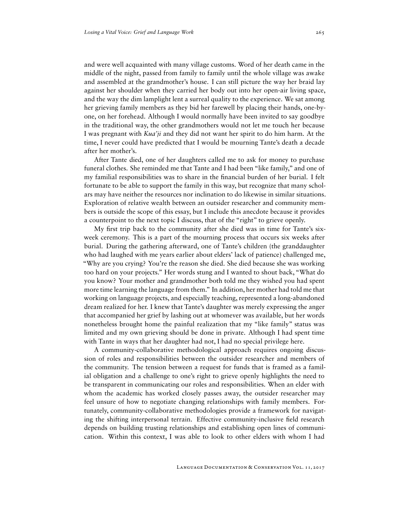and were well acquainted with many village customs. Word of her death came in the middle of the night, passed from family to family until the whole village was awake and assembled at the grandmother's house. I can still picture the way her braid lay against her shoulder when they carried her body out into her open-air living space, and the way the dim lamplight lent a surreal quality to the experience. We sat among her grieving family members as they bid her farewell by placing their hands, one-byone, on her forehead. Although I would normally have been invited to say goodbye in the traditional way, the other grandmothers would not let me touch her because I was pregnant with *Kua'ji* and they did not want her spirit to do him harm. At the time, I never could have predicted that I would be mourning Tante's death a decade after her mother's.

After Tante died, one of her daughters called me to ask for money to purchase funeral clothes. She reminded me that Tante and I had been "like family," and one of my familial responsibilities was to share in the financial burden of her burial. I felt fortunate to be able to support the family in this way, but recognize that many scholars may have neither the resources nor inclination to do likewise in similar situations. Exploration of relative wealth between an outsider researcher and community members is outside the scope of this essay, but I include this anecdote because it provides a counterpoint to the next topic I discuss, that of the "right" to grieve openly.

My first trip back to the community after she died was in time for Tante's sixweek ceremony. This is a part of the mourning process that occurs six weeks after burial. During the gathering afterward, one of Tante's children (the granddaughter who had laughed with me years earlier about elders' lack of patience) challenged me, "Why are you crying? You're the reason she died. She died because she was working too hard on your projects." Her words stung and I wanted to shout back, "What do you know? Your mother and grandmother both told me they wished you had spent more time learning the language from them." In addition, her mother had told me that working on language projects, and especially teaching, represented a long-abandoned dream realized for her. I knew that Tante's daughter was merely expressing the anger that accompanied her grief by lashing out at whomever was available, but her words nonetheless brought home the painful realization that my "like family" status was limited and my own grieving should be done in private. Although I had spent time with Tante in ways that her daughter had not, I had no special privilege here.

A community-collaborative methodological approach requires ongoing discussion of roles and responsibilities between the outsider researcher and members of the community. The tension between a request for funds that is framed as a familial obligation and a challenge to one's right to grieve openly highlights the need to be transparent in communicating our roles and responsibilities. When an elder with whom the academic has worked closely passes away, the outsider researcher may feel unsure of how to negotiate changing relationships with family members. Fortunately, community-collaborative methodologies provide a framework for navigating the shifting interpersonal terrain. Effective community-inclusive field research depends on building trusting relationships and establishing open lines of communication. Within this context, I was able to look to other elders with whom I had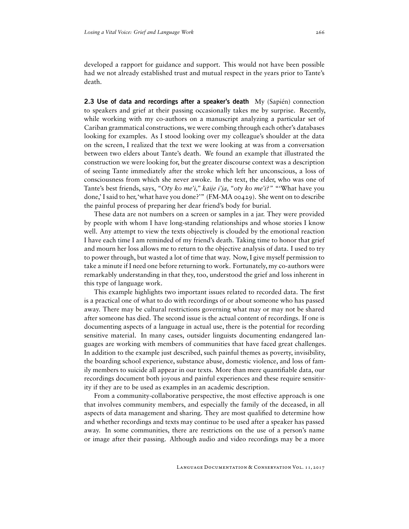developed a rapport for guidance and support. This would not have been possible had we not already established trust and mutual respect in the years prior to Tante's death.

**2.3 Use of data and recordings after a speaker's death** My (Sapién) connection to speakers and grief at their passing occasionally takes me by surprise. Recently, while working with my co-authors on a manuscript analyzing a particular set of Cariban grammatical constructions, we were combing through each other's databases looking for examples. As I stood looking over my colleague's shoulder at the data on the screen, I realized that the text we were looking at was from a conversation between two elders about Tante's death. We found an example that illustrated the construction we were looking for, but the greater discourse context was a description of seeing Tante immediately after the stroke which left her unconscious, a loss of consciousness from which she never awoke. In the text, the elder, who was one of Tante's best friends, says, *"Oty ko me'i," kaije i'ja, "oty ko me'i?"* "'What have you done,' I said to her,'what have you done?'" (FM-MA 00429). She went on to describe the painful process of preparing her dear friend's body for burial.

These data are not numbers on a screen or samples in a jar. They were provided by people with whom I have long-standing relationships and whose stories I know well. Any attempt to view the texts objectively is clouded by the emotional reaction I have each time I am reminded of my friend's death. Taking time to honor that grief and mourn her loss allows me to return to the objective analysis of data. I used to try to power through, but wasted a lot of time that way. Now, I give myself permission to take a minute if I need one before returning to work. Fortunately, my co-authors were remarkably understanding in that they, too, understood the grief and loss inherent in this type of language work.

This example highlights two important issues related to recorded data. The first is a practical one of what to do with recordings of or about someone who has passed away. There may be cultural restrictions governing what may or may not be shared after someone has died. The second issue is the actual content of recordings. If one is documenting aspects of a language in actual use, there is the potential for recording sensitive material. In many cases, outsider linguists documenting endangered languages are working with members of communities that have faced great challenges. In addition to the example just described, such painful themes as poverty, invisibility, the boarding school experience, substance abuse, domestic violence, and loss of family members to suicide all appear in our texts. More than mere quantifiable data, our recordings document both joyous and painful experiences and these require sensitivity if they are to be used as examples in an academic description.

From a community-collaborative perspective, the most effective approach is one that involves community members, and especially the family of the deceased, in all aspects of data management and sharing. They are most qualified to determine how and whether recordings and texts may continue to be used after a speaker has passed away. In some communities, there are restrictions on the use of a person's name or image after their passing. Although audio and video recordings may be a more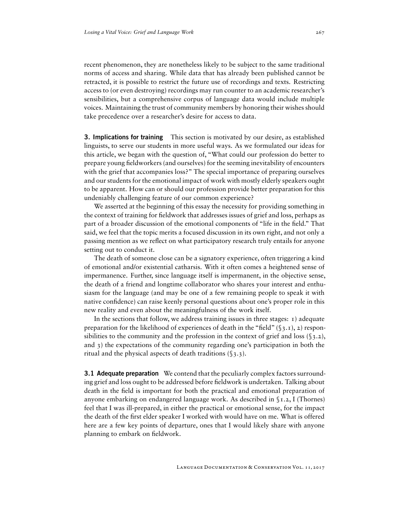recent phenomenon, they are nonetheless likely to be subject to the same traditional norms of access and sharing. While data that has already been published cannot be retracted, it is possible to restrict the future use of recordings and texts. Restricting access to (or even destroying) recordings may run counter to an academic researcher's sensibilities, but a comprehensive corpus of language data would include multiple voices. Maintaining the trust of community members by honoring their wishes should take precedence over a researcher's desire for access to data.

**3. Implications for training** This section is motivated by our desire, as established linguists, to serve our students in more useful ways. As we formulated our ideas for this article, we began with the question of, "What could our profession do better to prepare young fieldworkers (and ourselves) for the seeming inevitability of encounters with the grief that accompanies loss?" The special importance of preparing ourselves and our students for the emotional impact of work with mostly elderly speakers ought to be apparent. How can or should our profession provide better preparation for this undeniably challenging feature of our common experience?

We asserted at the beginning of this essay the necessity for providing something in the context of training for fieldwork that addresses issues of grief and loss, perhaps as part of a broader discussion of the emotional components of "life in the field." That said, we feel that the topic merits a focused discussion in its own right, and not only a passing mention as we reflect on what participatory research truly entails for anyone setting out to conduct it.

The death of someone close can be a signatory experience, often triggering a kind of emotional and/or existential catharsis. With it often comes a heightened sense of impermanence. Further, since language itself is impermanent, in the objective sense, the death of a friend and longtime collaborator who shares your interest and enthusiasm for the language (and may be one of a few remaining people to speak it with native confidence) can raise keenly personal questions about one's proper role in this new reality and even about the meaningfulness of the work itself.

In the sections that follow, we address training issues in three stages:  $\iota$ ) adequate preparation for the likelihood of experiences of death in the "field"  $(\S_3, \mathbf{I})$ , 2) responsibilities to the community and the profession in the context of grief and loss  $(\S_3, 2)$ , and 3) the expectations of the community regarding one's participation in both the ritual and the physical aspects of death traditions (§3.3).

**3.1 Adequate preparation** We contend that the peculiarly complex factors surrounding grief and loss ought to be addressed before fieldwork is undertaken. Talking about death in the field is important for both the practical and emotional preparation of anyone embarking on endangered language work. As described in §1.2, I (Thornes) feel that I was ill-prepared, in either the practical or emotional sense, for the impact the death of the first elder speaker I worked with would have on me. What is offered here are a few key points of departure, ones that I would likely share with anyone planning to embark on fieldwork.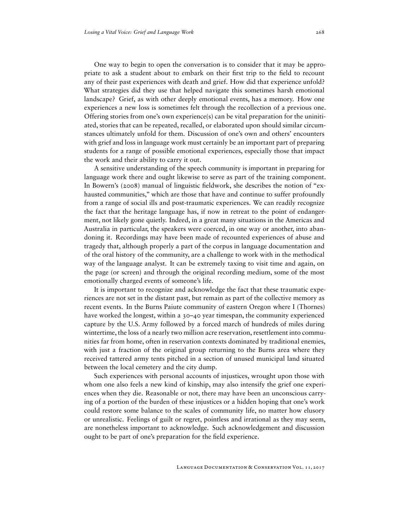One way to begin to open the conversation is to consider that it may be appropriate to ask a student about to embark on their first trip to the field to recount any of their past experiences with death and grief. How did that experience unfold? What strategies did they use that helped navigate this sometimes harsh emotional landscape? Grief, as with other deeply emotional events, has a memory. How one experiences a new loss is sometimes felt through the recollection of a previous one. Offering stories from one's own experience(s) can be vital preparation for the uninitiated, stories that can be repeated, recalled, or elaborated upon should similar circumstances ultimately unfold for them. Discussion of one's own and others' encounters with grief and loss in language work must certainly be an important part of preparing students for a range of possible emotional experiences, especially those that impact the work and their ability to carry it out.

A sensitive understanding of the speech community is important in preparing for language work there and ought likewise to serve as part of the training component. In Bowern's (2008) manual of linguistic fieldwork, she describes the notion of "exhausted communities," which are those that have and continue to suffer profoundly from a range of social ills and post-traumatic experiences. We can readily recognize the fact that the heritage language has, if now in retreat to the point of endangerment, not likely gone quietly. Indeed, in a great many situations in the Americas and Australia in particular, the speakers were coerced, in one way or another, into abandoning it. Recordings may have been made of recounted experiences of abuse and tragedy that, although properly a part of the corpus in language documentation and of the oral history of the community, are a challenge to work with in the methodical way of the language analyst. It can be extremely taxing to visit time and again, on the page (or screen) and through the original recording medium, some of the most emotionally charged events of someone's life.

It is important to recognize and acknowledge the fact that these traumatic experiences are not set in the distant past, but remain as part of the collective memory as recent events. In the Burns Paiute community of eastern Oregon where I (Thornes) have worked the longest, within a 30–40 year timespan, the community experienced capture by the U.S. Army followed by a forced march of hundreds of miles during wintertime, the loss of a nearly two million acre reservation, resettlement into communities far from home, often in reservation contexts dominated by traditional enemies, with just a fraction of the original group returning to the Burns area where they received tattered army tents pitched in a section of unused municipal land situated between the local cemetery and the city dump.

Such experiences with personal accounts of injustices, wrought upon those with whom one also feels a new kind of kinship, may also intensify the grief one experiences when they die. Reasonable or not, there may have been an unconscious carrying of a portion of the burden of these injustices or a hidden hoping that one's work could restore some balance to the scales of community life, no matter how elusory or unrealistic. Feelings of guilt or regret, pointless and irrational as they may seem, are nonetheless important to acknowledge. Such acknowledgement and discussion ought to be part of one's preparation for the field experience.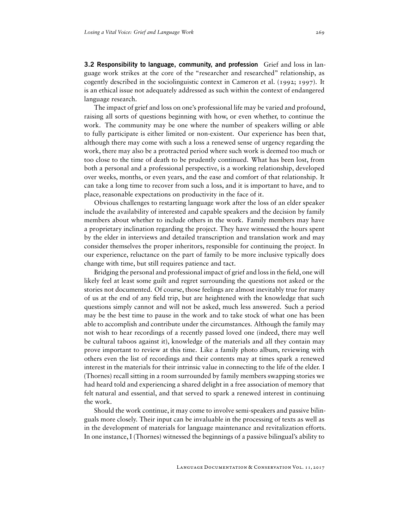3.2 Responsibility to language, community, and profession Grief and loss in language work strikes at the core of the "researcher and researched" relationship, as cogently described in the sociolinguistic context in Cameron et al. (1992; 1997). It is an ethical issue not adequately addressed as such within the context of endangered language research.

The impact of grief and loss on one's professional life may be varied and profound, raising all sorts of questions beginning with how, or even whether, to continue the work. The community may be one where the number of speakers willing or able to fully participate is either limited or non-existent. Our experience has been that, although there may come with such a loss a renewed sense of urgency regarding the work, there may also be a protracted period where such work is deemed too much or too close to the time of death to be prudently continued. What has been lost, from both a personal and a professional perspective, is a working relationship, developed over weeks, months, or even years, and the ease and comfort of that relationship. It can take a long time to recover from such a loss, and it is important to have, and to place, reasonable expectations on productivity in the face of it.

Obvious challenges to restarting language work after the loss of an elder speaker include the availability of interested and capable speakers and the decision by family members about whether to include others in the work. Family members may have a proprietary inclination regarding the project. They have witnessed the hours spent by the elder in interviews and detailed transcription and translation work and may consider themselves the proper inheritors, responsible for continuing the project. In our experience, reluctance on the part of family to be more inclusive typically does change with time, but still requires patience and tact.

Bridging the personal and professional impact of grief and loss in the field, one will likely feel at least some guilt and regret surrounding the questions not asked or the stories not documented. Of course, those feelings are almost inevitably true for many of us at the end of any field trip, but are heightened with the knowledge that such questions simply cannot and will not be asked, much less answered. Such a period may be the best time to pause in the work and to take stock of what one has been able to accomplish and contribute under the circumstances. Although the family may not wish to hear recordings of a recently passed loved one (indeed, there may well be cultural taboos against it), knowledge of the materials and all they contain may prove important to review at this time. Like a family photo album, reviewing with others even the list of recordings and their contents may at times spark a renewed interest in the materials for their intrinsic value in connecting to the life of the elder. I (Thornes) recall sitting in a room surrounded by family members swapping stories we had heard told and experiencing a shared delight in a free association of memory that felt natural and essential, and that served to spark a renewed interest in continuing the work.

Should the work continue, it may come to involve semi-speakers and passive bilinguals more closely. Their input can be invaluable in the processing of texts as well as in the development of materials for language maintenance and revitalization efforts. In one instance, I (Thornes) witnessed the beginnings of a passive bilingual's ability to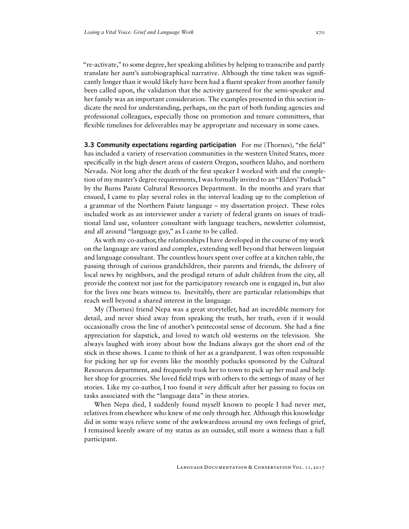"re-activate," to some degree, her speaking abilities by helping to transcribe and partly translate her aunt's autobiographical narrative. Although the time taken was significantly longer than it would likely have been had a fluent speaker from another family been called upon, the validation that the activity garnered for the semi-speaker and her family was an important consideration. The examples presented in this section indicate the need for understanding, perhaps, on the part of both funding agencies and professional colleagues, especially those on promotion and tenure committees, that flexible timelines for deliverables may be appropriate and necessary in some cases.

**3.3 Community expectations regarding participation** For me (Thornes), "the field" has included a variety of reservation communities in the western United States, more specifically in the high desert areas of eastern Oregon, southern Idaho, and northern Nevada. Not long after the death of the first speaker I worked with and the completion of my master's degree requirements, I was formally invited to an "Elders' Potluck" by the Burns Paiute Cultural Resources Department. In the months and years that ensued, I came to play several roles in the interval leading up to the completion of a grammar of the Northern Paiute language – my dissertation project. These roles included work as an interviewer under a variety of federal grants on issues of traditional land use, volunteer consultant with language teachers, newsletter columnist, and all around "language guy," as I came to be called.

As with my co-author, the relationships I have developed in the course of my work on the language are varied and complex, extending well beyond that between linguist and language consultant. The countless hours spent over coffee at a kitchen table, the passing through of curious grandchildren, their parents and friends, the delivery of local news by neighbors, and the prodigal return of adult children from the city, all provide the context not just for the participatory research one is engaged in, but also for the lives one bears witness to. Inevitably, there are particular relationships that reach well beyond a shared interest in the language.

My (Thornes) friend Nepa was a great storyteller, had an incredible memory for detail, and never shied away from speaking the truth, her truth, even if it would occasionally cross the line of another's pentecostal sense of decorum. She had a fine appreciation for slapstick, and loved to watch old westerns on the television. She always laughed with irony about how the Indians always got the short end of the stick in these shows. I came to think of her as a grandparent. I was often responsible for picking her up for events like the monthly potlucks sponsored by the Cultural Resources department, and frequently took her to town to pick up her mail and help her shop for groceries. She loved field trips with others to the settings of many of her stories. Like my co-author, I too found it very difficult after her passing to focus on tasks associated with the "language data" in these stories.

When Nepa died, I suddenly found myself known to people I had never met, relatives from elsewhere who knew of me only through her. Although this knowledge did in some ways relieve some of the awkwardness around my own feelings of grief, I remained keenly aware of my status as an outsider, still more a witness than a full participant.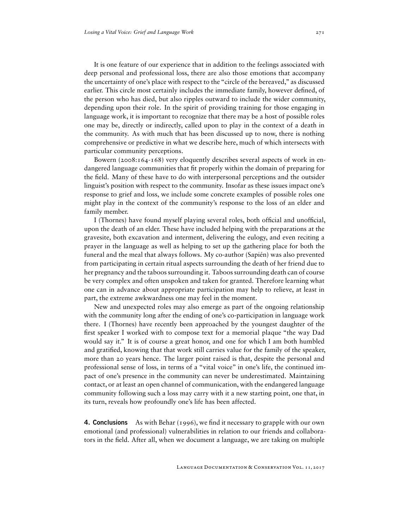It is one feature of our experience that in addition to the feelings associated with deep personal and professional loss, there are also those emotions that accompany the uncertainty of one's place with respect to the "circle of the bereaved," as discussed earlier. This circle most certainly includes the immediate family, however defined, of the person who has died, but also ripples outward to include the wider community, depending upon their role. In the spirit of providing training for those engaging in language work, it is important to recognize that there may be a host of possible roles one may be, directly or indirectly, called upon to play in the context of a death in the community. As with much that has been discussed up to now, there is nothing comprehensive or predictive in what we describe here, much of which intersects with particular community perceptions.

Bowern (2008:164-168) very eloquently describes several aspects of work in endangered language communities that fit properly within the domain of preparing for the field. Many of these have to do with interpersonal perceptions and the outsider linguist's position with respect to the community. Insofar as these issues impact one's response to grief and loss, we include some concrete examples of possible roles one might play in the context of the community's response to the loss of an elder and family member.

I (Thornes) have found myself playing several roles, both official and unofficial, upon the death of an elder. These have included helping with the preparations at the gravesite, both excavation and interment, delivering the eulogy, and even reciting a prayer in the language as well as helping to set up the gathering place for both the funeral and the meal that always follows. My co-author (Sapién) was also prevented from participating in certain ritual aspects surrounding the death of her friend due to her pregnancy and the taboos surrounding it. Taboos surrounding death can of course be very complex and often unspoken and taken for granted. Therefore learning what one can in advance about appropriate participation may help to relieve, at least in part, the extreme awkwardness one may feel in the moment.

New and unexpected roles may also emerge as part of the ongoing relationship with the community long after the ending of one's co-participation in language work there. I (Thornes) have recently been approached by the youngest daughter of the first speaker I worked with to compose text for a memorial plaque "the way Dad would say it." It is of course a great honor, and one for which I am both humbled and gratified, knowing that that work still carries value for the family of the speaker, more than 20 years hence. The larger point raised is that, despite the personal and professional sense of loss, in terms of a "vital voice" in one's life, the continued impact of one's presence in the community can never be underestimated. Maintaining contact, or at least an open channel of communication, with the endangered language community following such a loss may carry with it a new starting point, one that, in its turn, reveals how profoundly one's life has been affected.

4. **Conclusions** As with Behar (1996), we find it necessary to grapple with our own emotional (and professional) vulnerabilities in relation to our friends and collaborators in the field. After all, when we document a language, we are taking on multiple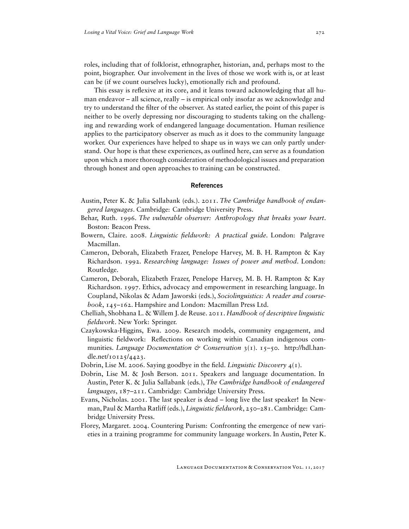roles, including that of folklorist, ethnographer, historian, and, perhaps most to the point, biographer. Our involvement in the lives of those we work with is, or at least can be (if we count ourselves lucky), emotionally rich and profound.

This essay is reflexive at its core, and it leans toward acknowledging that all human endeavor – all science, really – is empirical only insofar as we acknowledge and try to understand the filter of the observer. As stated earlier, the point of this paper is neither to be overly depressing nor discouraging to students taking on the challenging and rewarding work of endangered language documentation. Human resilience applies to the participatory observer as much as it does to the community language worker. Our experiences have helped to shape us in ways we can only partly understand. Our hope is that these experiences, as outlined here, can serve as a foundation upon which a more thorough consideration of methodological issues and preparation through honest and open approaches to training can be constructed.

#### References

- Austin, Peter K. & Julia Sallabank (eds.). 2011. *The Cambridge handbook of endangered languages*. Cambridge: Cambridge University Press.
- Behar, Ruth. 1996. *The vulnerable observer: Anthropology that breaks your heart*. Boston: Beacon Press.
- Bowern, Claire. 2008. *Linguistic fieldwork: A practical guide*. London: Palgrave Macmillan.
- Cameron, Deborah, Elizabeth Frazer, Penelope Harvey, M. B. H. Rampton & Kay Richardson. 1992. *Researching language: Issues of power and method*. London: Routledge.
- Cameron, Deborah, Elizabeth Frazer, Penelope Harvey, M. B. H. Rampton & Kay Richardson. 1997. Ethics, advocacy and empowerment in researching language. In Coupland, Nikolas & Adam Jaworski (eds.), *Sociolinguistics: A reader and coursebook*, 145–162. Hampshire and London: Macmillan Press Ltd.
- Chelliah, Shobhana L. & Willem J. de Reuse. 2011. *Handbook of descriptive linguistic fieldwork*. New York: Springer.
- Czaykowska-Higgins, Ewa. 2009. Research models, community engagement, and linguistic fieldwork: Reflections on working within Canadian indigenous communities. *Language Documentation & Conservation* 3(1). 15–50. [http://hdl.han](http://hdl.handle.net/10125/4423)[dle.net/10125/4423.](http://hdl.handle.net/10125/4423)
- Dobrin, Lise M. 2006. Saying goodbye in the field. *Linguistic Discovery* 4(1).
- Dobrin, Lise M. & Josh Berson. 2011. Speakers and language documentation. In Austin, Peter K. & Julia Sallabank (eds.), *The Cambridge handbook of endangered languages*, 187–211. Cambridge: Cambridge University Press.
- Evans, Nicholas. 2001. The last speaker is dead long live the last speaker! In Newman, Paul & Martha Ratliff (eds.), *Linguistic fieldwork*, 250–281. Cambridge: Cambridge University Press.
- Florey, Margaret. 2004. Countering Purism: Confronting the emergence of new varieties in a training programme for community language workers. In Austin, Peter K.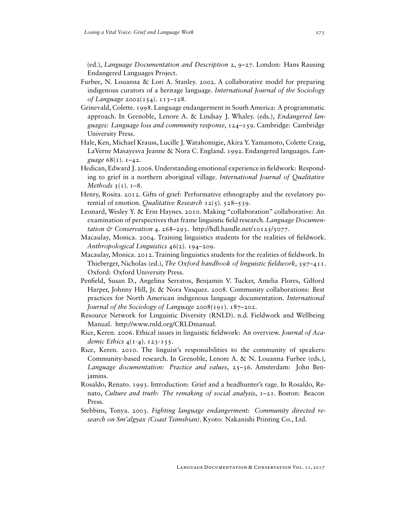(ed.), *Language Documentation and Description* 2, 9–27. London: Hans Rausing Endangered Languages Project.

- Furbee, N. Louanna & Lori A. Stanley. 2002. A collaborative model for preparing indigenous curators of a heritage language. *International Journal of the Sociology of Language* 2002(154). 113–128.
- Grinevald, Colette. 1998. Language endangerment in South America: A programmatic approach. In Grenoble, Lenore A. & Lindsay J. Whaley. (eds.), *Endangered languages: Language loss and community response*, 124–159. Cambridge: Cambridge University Press.
- Hale, Ken, Michael Krauss, Lucille J.Watahomigie, Akira Y. Yamamoto, Colette Craig, LaVerne Masayesva Jeanne & Nora C. England. 1992. Endangered languages. *Language* 68(1). 1–42.
- Hedican, Edward J. 2006. Understanding emotional experience in fieldwork: Responding to grief in a northern aboriginal village. *International Journal of Qualitative Methods* 5(1). 1–8.
- Henry, Rosita. 2012. Gifts of grief: Performative ethnography and the revelatory potential of emotion. *Qualitative Research* 12(5). 528–539.
- Leonard, Wesley Y. & Erin Haynes. 2010. Making "collaboration" collaborative: An examination of perspectives that frame linguistic field research. *Language Documentation & Conservation* 4. 268–293. [http://hdl.handle.net/10125/5077.](http://hdl.handle.net/10125/5077)
- Macaulay, Monica. 2004. Training linguistics students for the realities of fieldwork. *Anthropological Linguistics* 46(2). 194–209.
- Macaulay, Monica. 2012. Training linguistics students for the realities of fieldwork. In Thieberger, Nicholas (ed.), *The Oxford handbook of linguistic fieldwork*, 397–411. Oxford: Oxford University Press.
- Penfield, Susan D., Angelina Serratos, Benjamin V. Tucker, Amelia Flores, Gilford Harper, Johnny Hill, Jr. & Nora Vasquez. 2008. Community collaborations: Best practices for North American indigenous language documentation. *International Journal of the Sociology of Language* 2008(191). 187–202.
- Resource Network for Linguistic Diversity (RNLD). n.d. Fieldwork and Wellbeing Manual. [http://www.rnld.org/CRLDmanual.](http://www.rnld.org/CRLDmanual)
- Rice, Keren. 2006. Ethical issues in linguistic fieldwork: An overview. *Journal of Academic Ethics* 4(1-4). 123-155.
- Rice, Keren. 2010. The linguist's responsibilities to the community of speakers: Community-based research. In Grenoble, Lenore A. & N. Louanna Furbee (eds.), *Language documentation: Practice and values*, 25–36. Amsterdam: John Benjamins.
- Rosaldo, Renato. 1993. Introduction: Grief and a headhunter's rage. In Rosaldo, Renato, *Culture and truth: The remaking of social analysis*, 1–21. Boston: Beacon Press.
- Stebbins, Tonya. 2003. *Fighting language endangerment: Community directed research on Sm'algyax (Coast Tsimshian)*. Kyoto: Nakanishi Printing Co., Ltd.